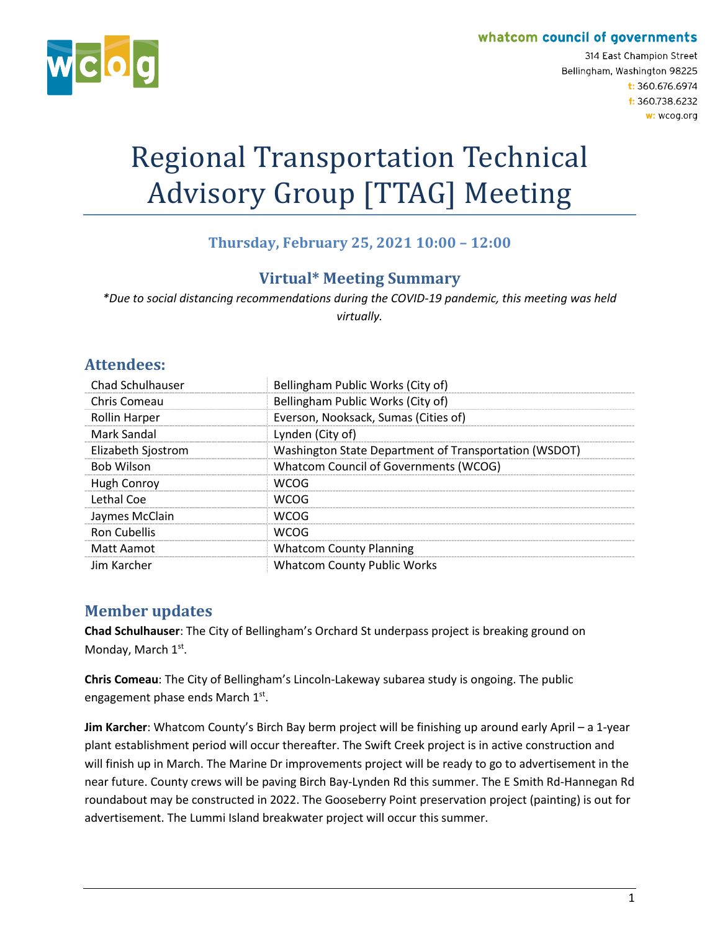#### whatcom council of governments



314 East Champion Street Bellingham, Washington 98225 t: 360.676.6974 f: 360.738.6232 w: wcog.org

# Regional Transportation Technical Advisory Group [TTAG] Meeting

## **Thursday, February 25, 2021 10:00 – 12:00**

## **Virtual\* Meeting Summary**

*\*Due to social distancing recommendations during the COVID-19 pandemic, this meeting was held virtually.*

#### **Attendees:**

| <b>Chad Schulhauser</b> | Bellingham Public Works (City of)                     |
|-------------------------|-------------------------------------------------------|
| Chris Comeau            | Bellingham Public Works (City of)                     |
| <b>Rollin Harper</b>    | Everson, Nooksack, Sumas (Cities of)                  |
| <b>Mark Sandal</b>      | Lynden (City of)                                      |
| Elizabeth Sjostrom      | Washington State Department of Transportation (WSDOT) |
| <b>Bob Wilson</b>       | <b>Whatcom Council of Governments (WCOG)</b>          |
| Hugh Conroy             | WCOG                                                  |
| Lethal Coe              | WCOG                                                  |
| Jaymes McClain          | <b>WCOG</b>                                           |
| <b>Ron Cubellis</b>     | <b>WCOG</b>                                           |
| Matt Aamot              | <b>Whatcom County Planning</b>                        |
| Jim Karcher             | <b>Whatcom County Public Works</b>                    |

#### **Member updates**

**Chad Schulhauser**: The City of Bellingham's Orchard St underpass project is breaking ground on Monday, March 1st.

**Chris Comeau**: The City of Bellingham's Lincoln-Lakeway subarea study is ongoing. The public engagement phase ends March 1st.

**Jim Karcher**: Whatcom County's Birch Bay berm project will be finishing up around early April – a 1-year plant establishment period will occur thereafter. The Swift Creek project is in active construction and will finish up in March. The Marine Dr improvements project will be ready to go to advertisement in the near future. County crews will be paving Birch Bay-Lynden Rd this summer. The E Smith Rd-Hannegan Rd roundabout may be constructed in 2022. The Gooseberry Point preservation project (painting) is out for advertisement. The Lummi Island breakwater project will occur this summer.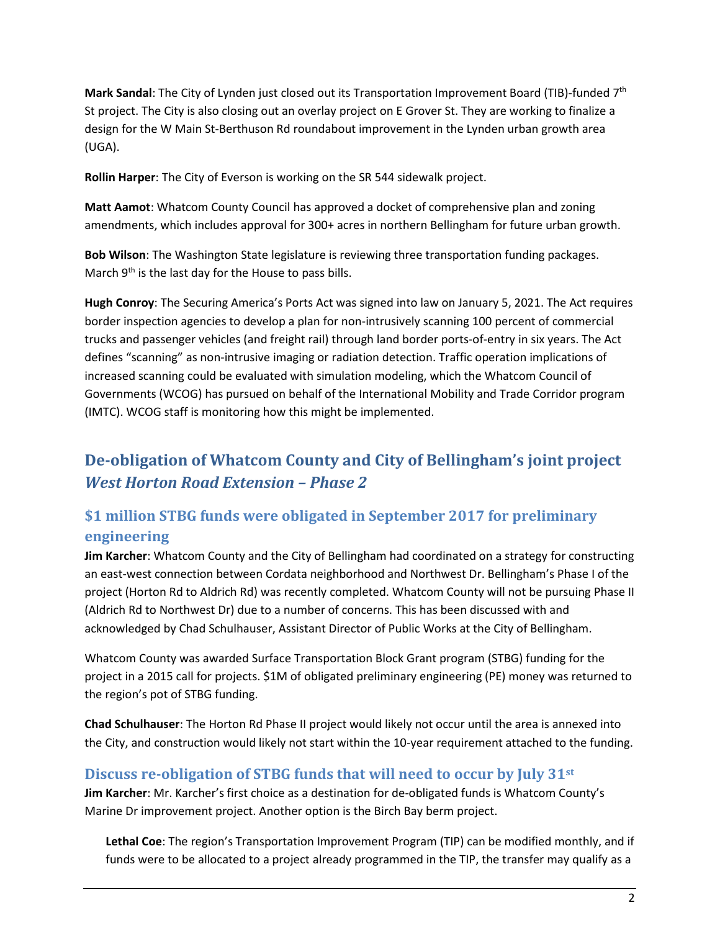**Mark Sandal**: The City of Lynden just closed out its Transportation Improvement Board (TIB)-funded 7th St project. The City is also closing out an overlay project on E Grover St. They are working to finalize a design for the W Main St-Berthuson Rd roundabout improvement in the Lynden urban growth area (UGA).

**Rollin Harper**: The City of Everson is working on the SR 544 sidewalk project.

**Matt Aamot**: Whatcom County Council has approved a docket of comprehensive plan and zoning amendments, which includes approval for 300+ acres in northern Bellingham for future urban growth.

**Bob Wilson**: The Washington State legislature is reviewing three transportation funding packages. March 9<sup>th</sup> is the last day for the House to pass bills.

**Hugh Conroy**: The Securing America's Ports Act was signed into law on January 5, 2021. The Act requires border inspection agencies to develop a plan for non-intrusively scanning 100 percent of commercial trucks and passenger vehicles (and freight rail) through land border ports-of-entry in six years. The Act defines "scanning" as non-intrusive imaging or radiation detection. Traffic operation implications of increased scanning could be evaluated with simulation modeling, which the Whatcom Council of Governments (WCOG) has pursued on behalf of the International Mobility and Trade Corridor program (IMTC). WCOG staff is monitoring how this might be implemented.

# **De-obligation of Whatcom County and City of Bellingham's joint project**  *West Horton Road Extension – Phase 2*

## **\$1 million STBG funds were obligated in September 2017 for preliminary engineering**

**Jim Karcher**: Whatcom County and the City of Bellingham had coordinated on a strategy for constructing an east-west connection between Cordata neighborhood and Northwest Dr. Bellingham's Phase I of the project (Horton Rd to Aldrich Rd) was recently completed. Whatcom County will not be pursuing Phase II (Aldrich Rd to Northwest Dr) due to a number of concerns. This has been discussed with and acknowledged by Chad Schulhauser, Assistant Director of Public Works at the City of Bellingham.

Whatcom County was awarded Surface Transportation Block Grant program (STBG) funding for the project in a 2015 call for projects. \$1M of obligated preliminary engineering (PE) money was returned to the region's pot of STBG funding.

**Chad Schulhauser**: The Horton Rd Phase II project would likely not occur until the area is annexed into the City, and construction would likely not start within the 10-year requirement attached to the funding.

#### **Discuss re-obligation of STBG funds that will need to occur by July 31st**

**Jim Karcher**: Mr. Karcher's first choice as a destination for de-obligated funds is Whatcom County's Marine Dr improvement project. Another option is the Birch Bay berm project.

**Lethal Coe**: The region's Transportation Improvement Program (TIP) can be modified monthly, and if funds were to be allocated to a project already programmed in the TIP, the transfer may qualify as a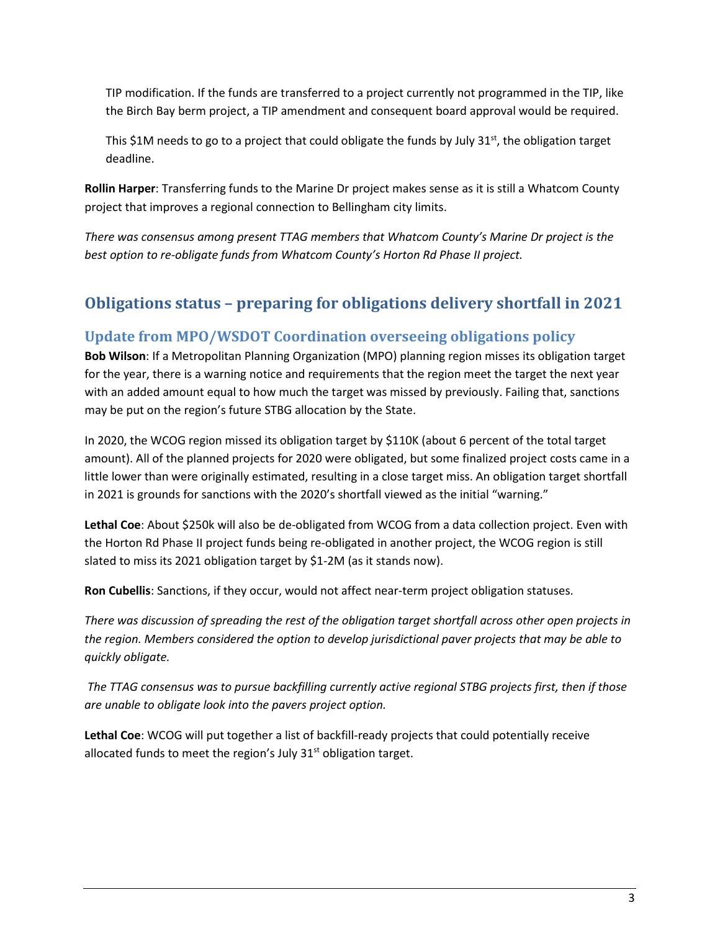TIP modification. If the funds are transferred to a project currently not programmed in the TIP, like the Birch Bay berm project, a TIP amendment and consequent board approval would be required.

This \$1M needs to go to a project that could obligate the funds by July  $31^{st}$ , the obligation target deadline.

**Rollin Harper**: Transferring funds to the Marine Dr project makes sense as it is still a Whatcom County project that improves a regional connection to Bellingham city limits.

*There was consensus among present TTAG members that Whatcom County's Marine Dr project is the best option to re-obligate funds from Whatcom County's Horton Rd Phase II project.*

# **Obligations status – preparing for obligations delivery shortfall in 2021**

## **Update from MPO/WSDOT Coordination overseeing obligations policy**

**Bob Wilson**: If a Metropolitan Planning Organization (MPO) planning region misses its obligation target for the year, there is a warning notice and requirements that the region meet the target the next year with an added amount equal to how much the target was missed by previously. Failing that, sanctions may be put on the region's future STBG allocation by the State.

In 2020, the WCOG region missed its obligation target by \$110K (about 6 percent of the total target amount). All of the planned projects for 2020 were obligated, but some finalized project costs came in a little lower than were originally estimated, resulting in a close target miss. An obligation target shortfall in 2021 is grounds for sanctions with the 2020's shortfall viewed as the initial "warning."

**Lethal Coe**: About \$250k will also be de-obligated from WCOG from a data collection project. Even with the Horton Rd Phase II project funds being re-obligated in another project, the WCOG region is still slated to miss its 2021 obligation target by \$1-2M (as it stands now).

**Ron Cubellis**: Sanctions, if they occur, would not affect near-term project obligation statuses.

*There was discussion of spreading the rest of the obligation target shortfall across other open projects in the region. Members considered the option to develop jurisdictional paver projects that may be able to quickly obligate.*

*The TTAG consensus was to pursue backfilling currently active regional STBG projects first, then if those are unable to obligate look into the pavers project option.*

**Lethal Coe**: WCOG will put together a list of backfill-ready projects that could potentially receive allocated funds to meet the region's July  $31<sup>st</sup>$  obligation target.